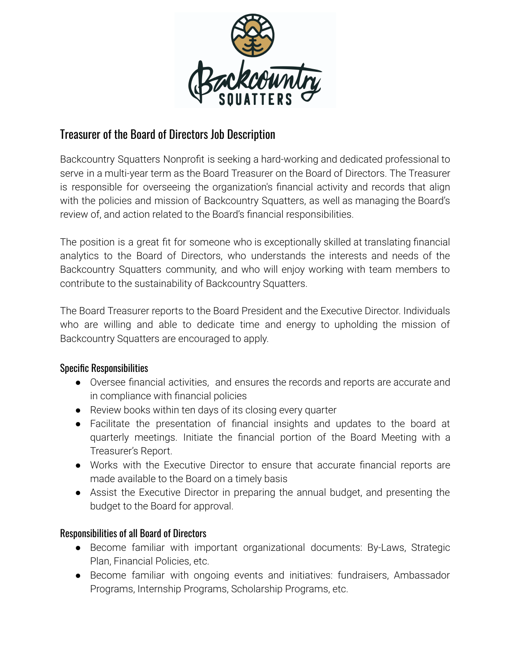

# Treasurer of the Board of Directors Job Description

Backcountry Squatters Nonprofit is seeking a hard-working and dedicated professional to serve in a multi-year term as the Board Treasurer on the Board of Directors. The Treasurer is responsible for overseeing the organization's financial activity and records that align with the policies and mission of Backcountry Squatters, as well as managing the Board's review of, and action related to the Board's financial responsibilities.

The position is a great fit for someone who is exceptionally skilled at translating financial analytics to the Board of Directors, who understands the interests and needs of the Backcountry Squatters community, and who will enjoy working with team members to contribute to the sustainability of Backcountry Squatters.

The Board Treasurer reports to the Board President and the Executive Director. Individuals who are willing and able to dedicate time and energy to upholding the mission of Backcountry Squatters are encouraged to apply.

### Specific Responsibilities

- Oversee financial activities, and ensures the records and reports are accurate and in compliance with financial policies
- Review books within ten days of its closing every quarter
- Facilitate the presentation of financial insights and updates to the board at quarterly meetings. Initiate the financial portion of the Board Meeting with a Treasurer's Report.
- Works with the Executive Director to ensure that accurate financial reports are made available to the Board on a timely basis
- Assist the Executive Director in preparing the annual budget, and presenting the budget to the Board for approval.

## Responsibilities of all Board of Directors

- Become familiar with important organizational documents: By-Laws, Strategic Plan, Financial Policies, etc.
- Become familiar with ongoing events and initiatives: fundraisers, Ambassador Programs, Internship Programs, Scholarship Programs, etc.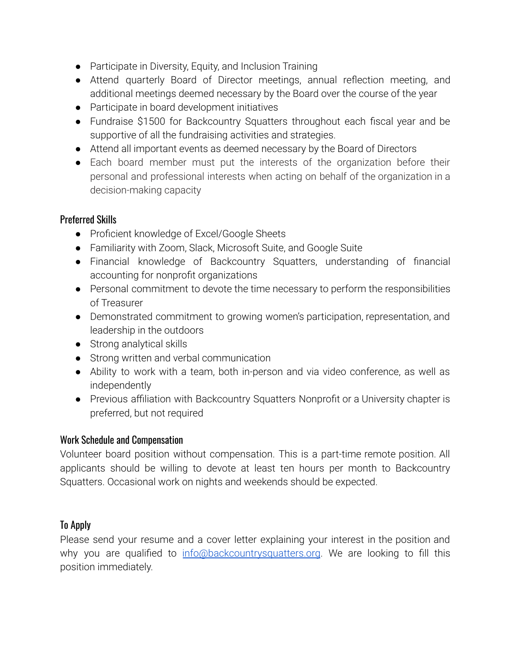- Participate in Diversity, Equity, and Inclusion Training
- Attend quarterly Board of Director meetings, annual reflection meeting, and additional meetings deemed necessary by the Board over the course of the year
- Participate in board development initiatives
- Fundraise \$1500 for Backcountry Squatters throughout each fiscal year and be supportive of all the fundraising activities and strategies.
- Attend all important events as deemed necessary by the Board of Directors
- Each board member must put the interests of the organization before their personal and professional interests when acting on behalf of the organization in a decision-making capacity

### Preferred Skills

- Proficient knowledge of Excel/Google Sheets
- Familiarity with Zoom, Slack, Microsoft Suite, and Google Suite
- Financial knowledge of Backcountry Squatters, understanding of financial accounting for nonprofit organizations
- Personal commitment to devote the time necessary to perform the responsibilities of Treasurer
- Demonstrated commitment to growing women's participation, representation, and leadership in the outdoors
- Strong analytical skills
- Strong written and verbal communication
- Ability to work with a team, both in-person and via video conference, as well as independently
- Previous affiliation with Backcountry Squatters Nonprofit or a University chapter is preferred, but not required

### Work Schedule and Compensation

Volunteer board position without compensation. This is a part-time remote position. All applicants should be willing to devote at least ten hours per month to Backcountry Squatters. Occasional work on nights and weekends should be expected.

### To Apply

Please send your resume and a cover letter explaining your interest in the position and why you are qualified to [info@backcountrysquatters.org](mailto:info@backcountrysquatters.org). We are looking to fill this position immediately.